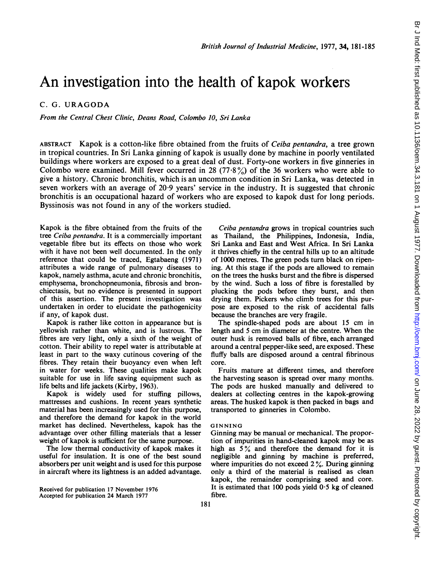# An investigation into the health of kapok workers

C. G. URAGODA

From the Central Chest Clinic, Deans Road, Colombo 10, Sri Lanka

ABSTRACT Kapok is a cotton-like fibre obtained from the fruits of Ceiba pentandra, a tree grown in tropical countries. In Sri Lanka ginning of kapok is usually done by machine in poorly ventilated buildings where workers are exposed to a great deal of dust. Forty-one workers in five ginneries in Colombo were examined. Mill fever occurred in 28 (77.8%) of the 36 workers who were able to give a history. Chronic bronchitis, which is an uncommon condition in Sri Lanka, was detected in seven workers with an average of 20-9 years' service in the industry. It is suggested that chronic bronchitis is an occupational hazard of workers who are exposed to kapok dust for long periods. Byssinosis was not found in any of the workers studied.

Kapok is the fibre obtained from the fruits of the tree Ceiba pentandra. It is a commercially important vegetable fibre but its effects on those who work with it have not been well documented. In the only reference that could be traced, Egtabaeng (1971) attributes a wide range of pulmonary diseases to kapok, namely asthma, acute and chronic bronchitis, emphysema, bronchopneumonia, fibrosis and bronchiectasis, but no evidence is presented in support of this assertion. The present investigation was undertaken in order to elucidate the pathogenicity if any, of kapok dust.

Kapok is rather like cotton in appearance but is yellowish rather than white, and is lustrous. The fibres are very light, only a sixth of the weight of cotton. Their ability to repel water is attributable at least in part to the waxy cutinous covering of the fibres. They retain their buoyancy even when left in water for weeks. These qualities make kapok suitable for use in life saving equipment such as life belts and life jackets (Kirby, 1963).

Kapok is widely used for stuffing pillows, mattresses and cushions. In recent years synthetic material has been increasingly used for this purpose, and therefore the demand for kapok in the world market has declined. Nevertheless, kapok has the advantage over other filling materials that a lesser weight of kapok is sufficient for the same purpose.

The low thermal conductivity of kapok makes it useful for insulation. It is one of the best sound absorbers per unit weight and is used for this purpose in aircraft where its lightness is an added advantage.

Ceiba pentandra grows in tropical countries such as Thailand, the Philippines, Indonesia, India, Sri Lanka and East and West Africa. In Sri Lanka it thrives chiefly in the central hills up to an altitude of 1000 metres. The green pods turn black on ripening. At this stage if the pods are allowed to remain on the trees the husks burst and the fibre is dispersed by the wind. Such a loss of fibre is forestalled by plucking the pods before they burst, and then drying them. Pickers who climb trees for this purpose are exposed to the risk of accidental falls because the branches are very fragile.

The spindle-shaped pods are about <sup>15</sup> cm in length and <sup>5</sup> cm in diameter at the centre. When the outer husk is removed balls of fibre, each arranged around a central pepper-like seed, are exposed. These fluffy balls are disposed around a central fibrinous core.

Fruits mature at different times, and therefore the harvesting season is spread over many months. The pods are husked manually and delivered to dealers at collecting centres in the kapok-growing areas. The husked kapok is then packed in bags and transported to ginneries in Colombo.

#### GINNING

Ginning may be manual or mechanical. The proportion of impurities in hand-cleaned kapok may be as high as  $5\%$  and therefore the demand for it is negligible and ginning by machine is preferred, where impurities do not exceed 2%. During ginning only a third of the material is realised as clean kapok, the remainder comprising seed and core. It is estimated that 100 pods yield  $0.5$  kg of cleaned fibre.

Received for publication 17 November 1976 Accepted for publication 24 March 1977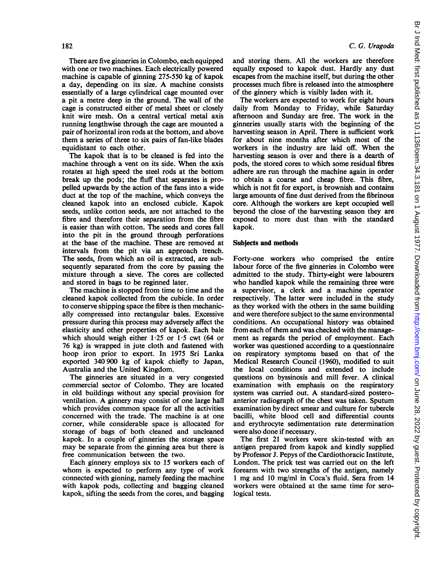There are five ginneries in Colombo, each equipped with one or two machines. Each electrically powered machine is capable of ginning 275-550 kg of kapok <sup>a</sup> day, depending on its size. A machine consists essentially of a large cylindrical cage mounted over a pit a metre deep in the ground. The wall of the cage is constructed either of metal sheet or closely knit wire mesh. On a central vertical metal axis running lengthwise through the cage are mounted a pair of horizontal iron rods at the bottom, and above them a series of three to six pairs of fan-like blades equidistant to each other.

The kapok that is to be cleaned is fed into the machine through a vent on its side. When the axis rotates at high speed the steel rods at the bottom break up the pods; the fluff that separates is propelled upwards by the action of the fans into a wide duct at the top of the machine, which conveys the cleaned kapok into an enclosed cubicle. Kapok seeds, unlike cotton seeds, are not attached to the fibre and therefore their separation from the fibre is easier than with cotton. The seeds and cores fall into the pit in the ground through perforations at the base of the machine. These are removed at intervals from the pit via an approach trench. The seeds, from which an oil is extracted, are subsequently separated from the core by passing the mixture through a sieve. The cores are collected and stored in bags to be reginned later.

The machine is stopped from time to time and the cleaned kapok collected from the cubicle. In order to conserve shipping space the fibre is then mechanically compressed into rectangular bales. Excessive pressure during this process may adversely affect the elasticity and other properties of kapok. Each bale which should weigh either  $1.25$  or  $1.5$  cwt (64 or 76 kg) is wrapped in jute cloth and fastened with hoop iron prior to export. In 1975 Sri Lanka exported 340 900 kg of kapok chiefly to Japan, Australia and the United Kingdom.

The ginneries are situated in a very congested commercial sector of Colombo. They are located in old buildings without any special provision for ventilation. A ginnery may consist of one large hall which provides common space for all the activities concerned with the trade. The machine is at one corner, while considerable space is allocated for storage of bags of both cleaned and uncleaned kapok. In a couple of ginneries the storage space may be separate from the ginning area but there is free communication between the two.

Each ginnery employs six to 15 workers each of whom is expected to perform any type of work connected with ginning, namely feeding the machine with kapok pods, collecting and bagging cleaned kapok, sifting the seeds from the cores, and bagging and storing them. All the workers are therefore equally exposed to kapok dust. Hardly any dust escapes from the machine itself, but during the other processes much fibre is released into the atmosphere of the ginnery which is visibly laden with it.

The workers are expected to work for eight hours daily from Monday to Friday, while Saturday afternoon and Sunday are free. The work in the ginneries usually starts with the beginning of the harvesting season in April. There is sufficient work for about nine months after which most of the workers in the industry are laid off. When the harvesting season is over and there is a dearth of pods, the stored cores to which some residual fibres adhere are run through the machine again in order to obtain a coarse and cheap fibre. This fibre, which is not fit for export, is brownish and contains large amounts of fine dust derived from the fibrinous core. Although the workers are kept occupied well beyond the close of the harvesting season they are exposed to more dust than with the standard kapok.

### Subjects and methods

Forty-one workers who comprised the entire labour force of the five ginneries in Colombo were admitted to the study. Thirty-eight were labourers who handled kapok while the remaining three were a supervisor, a clerk and a machine operator respectively. The latter were included in the study as they worked with the others in the same building and were therefore subject to the same environmental conditions. An occupational history was obtained from each of them and was checked with the management as regards the period of employment. Each worker was questioned according to a questionnaire on respiratory symptoms based on that of the Medical Research Council (1960), modified to suit the local conditions and extended to include questions on byssinosis and mill fever. A clinical examination with emphasis on the respiratory system was carried out. A standard-sized posteroanterior radiograph of the chest was taken. Sputum examination by direct smear and culture for tubercle bacilli, white blood cell and differential counts and erythrocyte sedimentation rate determination were also done if necessary.

The first 21 workers were skin-tested with an antigen prepared from kapok and kindly supplied by Professor J. Pepys of the Cardiothoracic Institute, London. The prick test was carried out on the left forearm with two strengths of the antigen, namely <sup>1</sup> mg and <sup>10</sup> mg/ml in Coca's fluid. Sera from 14 workers were obtained at the same time for serological tests.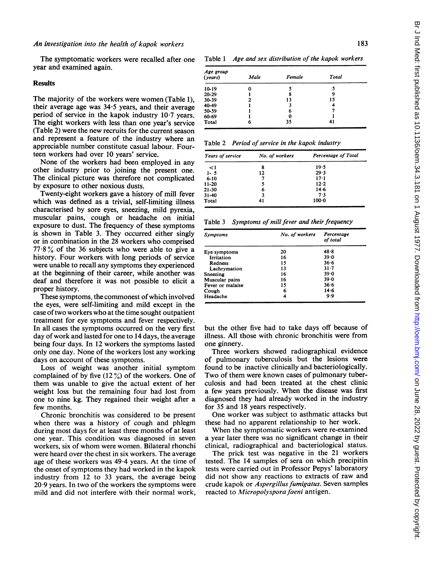The symptomatic workers were recalled after one year and examined again.

#### **Results**

The majority of the workers were women (Table 1), their average age was 34-5 years, and their average period of service in the kapok industry 10-7 years. The eight workers with less than one year's service (Table 2) were the new recruits for the current season and represent a feature of the industry where an appreciable number constitute casual labour. Fourteen workers had over 10 years' service.

None of the workers had been employed in any other industry prior to joining the present one. The clinical picture was therefore not complicated by exposure to other noxious dusts.

Twenty-eight workers gave a history of mill fever which was defined as a trivial, self-limiting illness characterised by sore eyes, sneezing, mild pyrexia, muscular pains, cough or headache on initial exposure to dust. The frequency of these symptoms is shown in Table 3. They occurred either singly or in combination in the 28 workers who comprised  $77.8\%$  of the 36 subjects who were able to give a history. Four workers with long periods of service were unable to recall any symptoms they experienced at the beginning of their career, while another was deaf and therefore it was not possible to elicit a proper history.

These symptoms, the commonest of which involved the eyes, were self-limiting and mild except in the case of two workers who at the time sought outpatient treatment for eye symptoms and fever respectively. In all cases the symptoms occurred on the very first day of work and lasted for one to 14 days, the average being four days. In 12 workers the symptoms lasted only one day. None of the workers lost any working days on account of these symptoms.

Loss of weight was another initial symptom complained of by five  $(12\%)$  of the workers. One of them was unable to give the actual extent of her weight loss but the remaining four had lost from one to nine kg. They regained their weight after a few months.

Chronic bronchitis was considered to be present when there was a history of cough and phlegm during most days for at least three months of at least one year. This condition was diagnosed in seven workers, six of whom were women. Bilateral rhonchi were heard over the chest in six workers. The average age of these workers was 49-4 years. At the time of the onset of symptoms they had worked in the kapok industry from 12 to 33 years, the average being 20 9 years. In two of the workers the symptoms were mild and did not interfere with their normal work,

Table <sup>1</sup> Age and sex distribution of the kapok workers

| Age group<br>(years) | Male | Female | Total |  |
|----------------------|------|--------|-------|--|
| 10-19                | 0    |        |       |  |
| 20-29                |      | 8      | 9     |  |
| 30-39                |      | 13     | 15    |  |
| 40-49                |      | 3      |       |  |
| 50-59                |      | 6      |       |  |
| 60-69                |      | 0      |       |  |
| Total                | 6    | 35     |       |  |

Table 2 Period of service in the kapok industry

| Years of service | No. of workers | Percentage of Total |
|------------------|----------------|---------------------|
| <1               | 8              | 19.5                |
| $1 - 5$          | 12             | $29 - 3$            |
| $6 - 10$         |                | $17 - 1$            |
| 11-20            |                | $12 - 2$            |
| 21-30            | 6              | $14-6$              |
| $31 - 40$        | 3              | 7.3                 |
| Total            | 41             | $100 - 0$           |

Table <sup>3</sup> Symptoms of mill fever and their frequency

| <b>Symptoms</b>  | No. of workers | Percentage<br>of total |
|------------------|----------------|------------------------|
| Eye symptoms     | 20             | 48.8                   |
| Irritation       | 16             | 39.0                   |
| Redness          | 15             | 36.6                   |
| Lachrymation     | 13             | $31 - 7$               |
| Sneezing         | 16             | $39 - 0$               |
| Muscular pains   | 16             | $39 - 0$               |
| Fever or malaise | 15             | $36 - 6$               |
| Cough            | 6              | 14.6                   |
| Headache         | 4              | 9.9                    |

but the other five had to take days off because of illness. All those with chronic bronchitis were from one ginnery.

Three workers showed radiographical evidence of pulmonary tuberculosis but the lesions were found to be inactive clinically and bacteriologically. Two of them were known cases of pulmonary tuberculosis and had been treated at the chest clinic a few years previously. When the disease was first diagnosed they had already worked in the industry for 35 and 18 years respectively.

One worker was subject to asthmatic attacks but these had no apparent relationship to her work.

When the symptomatic workers were re-examined a year later there was no significant change in their clinical, radiographical and bacteriological status.

The prick test was negative in the 21 workers tested. The 14 samples of sera on which precipitin tests were carried out in Professor Pepys' laboratory did not show any reactions to extracts of raw and crude kapok or *Aspergillus fumigatus*. Seven samples reacted to Micropolyspora faeni antigen.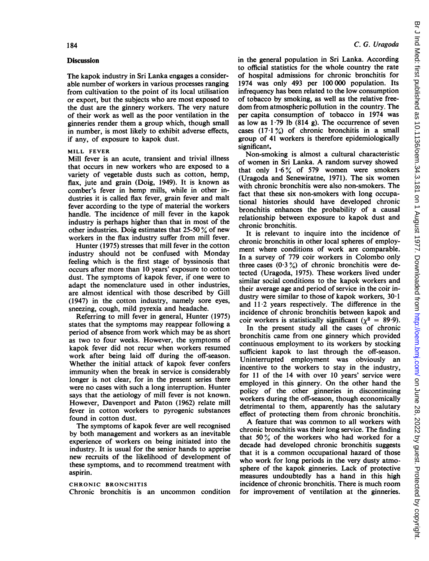## **Discussion**

The kapok industry in Sri Lanka engages a considerable number of workers in various processes ranging from cultivation to the point of its local utilisation or export, but the subjects who are most exposed to the dust are the ginnery workers. The very nature of their work as well as the poor ventilation in the ginneries render them a group which, though small in number, is most likely to exhibit adverse effects, if any, of exposure to kapok dust.

## MILL FEVER

Mill fever is an acute, transient and trivial illness that occurs in new workers who are exposed to a variety of vegetable dusts such as cotton, hemp, flax, jute and grain (Doig, 1949). It is known as comber's fever in hemp mills, while in other industries it is called flax fever, grain fever and malt fever according to the type of material the workers handle. The incidence of mill fever in the kapok industry is perhaps higher than that in most of the other industries. Doig estimates that 25-50 % of new workers in the flax industry suffer from mill fever.

Hunter (1975) stresses that mill fever in the cotton industry should not be confused with Monday feeling which is the first stage of byssinosis that occurs after more than 10 years' exposure to cotton dust. The symptoms of kapok fever, if one were to adapt the nomenclature used in other industries, are almost identical with those described by Gill (1947) in the cotton industry, namely sore eyes, sneezing, cough, mild pyrexia and headache.

Referring to mill fever in general, Hunter (1975) states that the symptoms may reappear following a period of absence from work which may be as short as two to four weeks. However, the symptoms of kapok fever did not recur when workers resumed work after being laid off during the off-season. Whether the initial attack of kapok fever confers immunity when the break in service is considerably longer is not clear, for in the present series there were no cases with such a long interruption. Hunter says that the aetiology of mill fever is not known. However, Davenport and Paton (1962) relate mill fever in cotton workers to pyrogenic substances found in cotton dust.

The symptoms of kapok fever are well recognised by both management and workers as an inevitable experience of workers on being initiated into the industry. It is usual for the senior hands to apprise new recruits of the likelihood of development of these symptoms, and to recommend treatment with aspirin.

#### CHRONIC BRONCHITIS

Chronic bronchitis is an uncommon condition

## C. G. Uragoda

in the general population in Sri Lanka. According to official statistics for the whole country the rate of hospital admissions for chronic bronchitis for 1974 was only 493 per 100 000 population. Its infrequency has been related to the low consumption of tobacco by smoking, as well as the relative freedom from atmospheric pollution in the country. The per capita consumption of tobacco in 1974 was as low as  $1.79$  lb (814 g). The occurrence of seven cases  $(17.1\%)$  of chronic bronchitis in a small group of 41 workers is therefore epidemiologically significant.

Non-smoking is almost a cultural characteristic of women in Sri Lanka. A random survey showed that only  $1.6\%$  of 579 women were smokers (Uragoda and Senewiratne, 1971). The six women with chronic bronchitis were also non-smokers. The fact that these six non-smokers with long occupational histories should have developed chronic bronchitis enhances the probability of a causal relationship between exposure to kapok dust and chronic bronchitis.

It is relevant to inquire into the incidence of chronic bronchitis in other local spheres of employment where conditions of work are comparable. In a survey of 779 coir workers in Colombo only three cases  $(0.3\%)$  of chronic bronchitis were detected (Uragoda, 1975). These workers lived under similar social conditions to the kapok workers and their average age and period of service in the coir industry were similar to those of kapok workers, 30-1 and  $11.2$  years respectively. The difference in the incidence of chronic bronchitis between kapok and coir workers is statistically significant ( $\chi^2 = 89.9$ ).

In the present study all the cases of chronic bronchitis came from one ginnery which provided continuous employment to its workers by stocking sufficient kapok to last through the off-season. Uninterrupted employment was obviously an incentive to the workers to stay in the industry, for 11 of the 14 with over 10 years' service were employed in this ginnery. On the other hand the policy of the other ginneries in discontinuing workers during the off-season, though economically detrimental to them, apparently has the salutary effect of protecting them from chronic bronchitis.

A feature that was common to all workers with chronic bronchitis was their long service. The finding that 50% of the workers who had worked for a decade had developed chronic bronchitis suggests that it is a common occupational hazard of those who work for long periods in the very dusty atmosphere of the kapok ginneries. Lack of protective measures undoubtedly has a hand in this high incidence of chronic bronchitis. There is much room for improvement of ventilation at the ginneries.